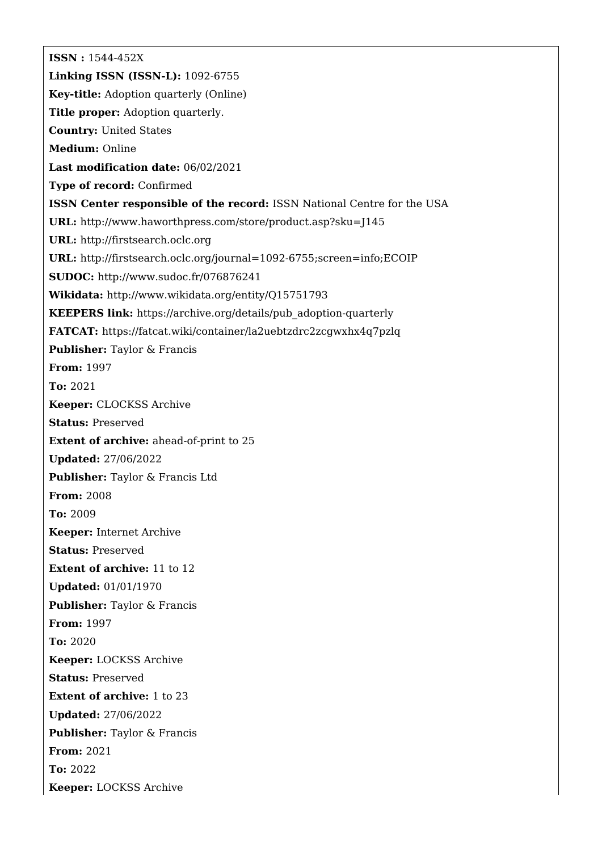**ISSN :** 1544-452X **Linking ISSN (ISSN-L):** 1092-6755 **Key-title:** Adoption quarterly (Online) **Title proper:** Adoption quarterly. **Country:** United States **Medium:** Online **Last modification date:** 06/02/2021 **Type of record:** Confirmed **ISSN Center responsible of the record:** ISSN National Centre for the USA **URL:** <http://www.haworthpress.com/store/product.asp?sku=J145> **URL:** <http://firstsearch.oclc.org> **URL:** <http://firstsearch.oclc.org/journal=1092-6755;screen=info;ECOIP> **SUDOC:** <http://www.sudoc.fr/076876241> **Wikidata:** <http://www.wikidata.org/entity/Q15751793> **KEEPERS link:** [https://archive.org/details/pub\\_adoption-quarterly](https://archive.org/details/pub_adoption-quarterly) **FATCAT:** <https://fatcat.wiki/container/la2uebtzdrc2zcgwxhx4q7pzlq> **Publisher:** Taylor & Francis **From:** 1997 **To:** 2021 **Keeper:** CLOCKSS Archive **Status:** Preserved **Extent of archive:** ahead-of-print to 25 **Updated:** 27/06/2022 **Publisher:** Taylor & Francis Ltd **From:** 2008 **To:** 2009 **Keeper:** Internet Archive **Status:** Preserved **Extent of archive:** 11 to 12 **Updated:** 01/01/1970 **Publisher:** Taylor & Francis **From:** 1997 **To:** 2020 **Keeper:** LOCKSS Archive **Status:** Preserved **Extent of archive:** 1 to 23 **Updated:** 27/06/2022 **Publisher:** Taylor & Francis **From:** 2021 **To:** 2022 **Keeper:** LOCKSS Archive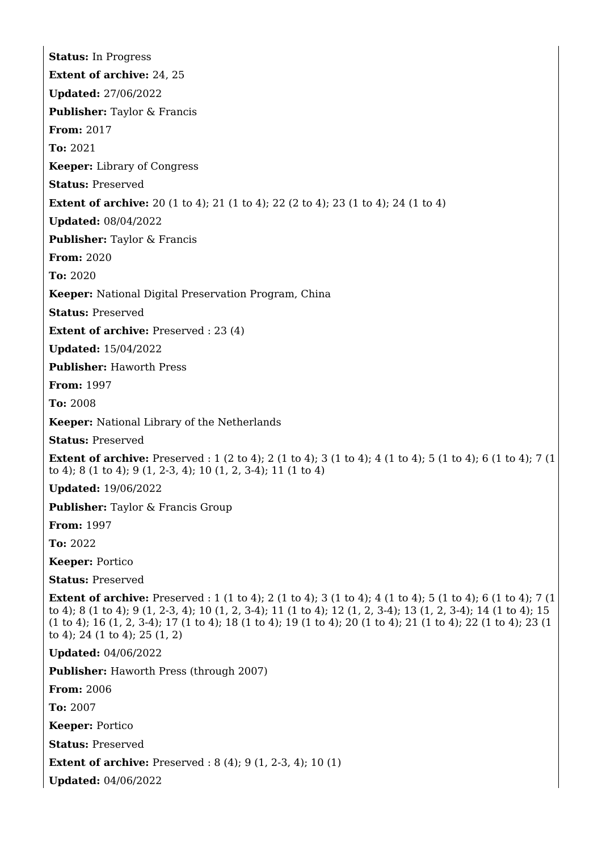**Status:** In Progress **Extent of archive:** 24, 25 **Updated:** 27/06/2022 **Publisher:** Taylor & Francis **From:** 2017 **To:** 2021 **Keeper:** Library of Congress **Status:** Preserved **Extent of archive:** 20 (1 to 4); 21 (1 to 4); 22 (2 to 4); 23 (1 to 4); 24 (1 to 4) **Updated:** 08/04/2022 **Publisher:** Taylor & Francis **From:** 2020 **To:** 2020 **Keeper:** National Digital Preservation Program, China **Status:** Preserved **Extent of archive:** Preserved : 23 (4) **Updated:** 15/04/2022 **Publisher:** Haworth Press **From:** 1997 **To:** 2008 **Keeper:** National Library of the Netherlands **Status:** Preserved **Extent of archive:** Preserved : 1 (2 to 4); 2 (1 to 4); 3 (1 to 4); 4 (1 to 4); 5 (1 to 4); 6 (1 to 4); 7 (1 to 4); 8 (1 to 4); 9 (1, 2-3, 4); 10 (1, 2, 3-4); 11 (1 to 4) **Updated:** 19/06/2022 **Publisher:** Taylor & Francis Group **From:** 1997 **To:** 2022 **Keeper:** Portico **Status:** Preserved **Extent of archive:** Preserved : 1 (1 to 4): 2 (1 to 4): 3 (1 to 4): 4 (1 to 4): 5 (1 to 4): 6 (1 to 4): 7 (1 to 4); 8 (1 to 4); 9 (1, 2-3, 4); 10 (1, 2, 3-4); 11 (1 to 4); 12 (1, 2, 3-4); 13 (1, 2, 3-4); 14 (1 to 4); 15 (1 to 4); 16 (1, 2, 3-4); 17 (1 to 4); 18 (1 to 4); 19 (1 to 4); 20 (1 to 4); 21 (1 to 4); 22 (1 to 4); 23 (1 to 4); 24 (1 to 4); 25 (1, 2) **Updated:** 04/06/2022 **Publisher:** Haworth Press (through 2007) **From:** 2006 **To:** 2007 **Keeper:** Portico **Status:** Preserved **Extent of archive:** Preserved : 8 (4); 9 (1, 2-3, 4); 10 (1) **Updated:** 04/06/2022